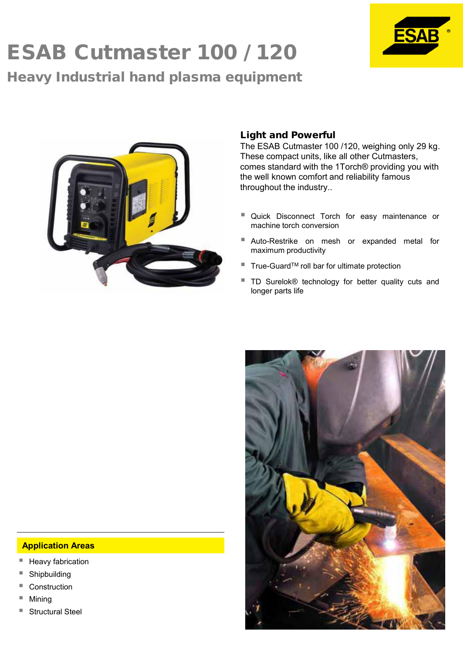# ESAB Cutmaster 100 / 120 Heavy Industrial hand plasma equipment





## Light and Powerful

The ESAB Cutmaster 100 /120, weighing only 29 kg. These compact units, like all other Cutmasters, comes standard with the 1Torch® providing you with the well known comfort and reliability famous throughout the industry..

- **Quick Disconnect Torch for easy maintenance or** machine torch conversion
- Auto-Restrike on mesh or expanded metal for maximum productivity
- $\blacksquare$  True-Guard<sup>TM</sup> roll bar for ultimate protection
- TD Surelok® technology for better quality cuts and longer parts life



#### **Application Areas**

- Heavy fabrication
- Shipbuilding
- **Construction**
- Mining
- Structural Steel